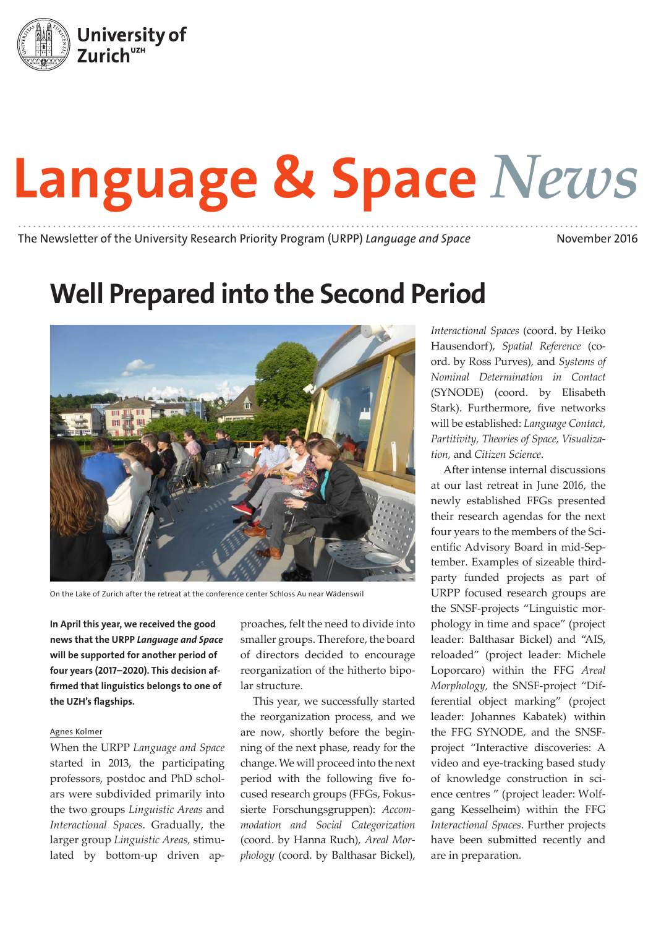

# Language & Space *News*

The Newsletter of the University Research Priority Program (URPP) *Language and Space* November 2016

## Well Prepared into the Second Period



On the Lake of Zurich after the retreat at the conference center Schloss Au near Wädenswil

In April this year, we received the good news that the URPP *Language and Space* will be supported for another period of four years (2017–2020). This decision affirmed that linguistics belongs to one of the UZH's flagships.

#### Agnes Kolmer

When the URPP *Language and Space* started in 2013, the participating professors, postdoc and PhD scholars were subdivided primarily into the two groups *Linguistic Areas* and *Interactional Spaces*. Gradually, the larger group *Linguistic Areas,* stimulated by bottom-up driven ap-

proaches, felt the need to divide into smaller groups. Therefore, the board of directors decided to encourage reorganization of the hitherto bipolar structure.

This year, we successfully started the reorganization process, and we are now, shortly before the beginning of the next phase, ready for the change. We will proceed into the next period with the following five focused research groups (FFGs, Fokussierte Forschungsgruppen): *Accommodation and Social Categorization* (coord. by Hanna Ruch), *Areal Morphology* (coord. by Balthasar Bickel),

*Interactional Spaces* (coord. by Heiko Hausendorf), *Spatial Reference* (coord. by Ross Purves), and *Systems of Nominal Determination in Contact* (SYNODE) (coord. by Elisabeth Stark). Furthermore, five networks will be established: *Language Contact, Partitivity, Theories of Space, Visualization,* and *Citizen Science*.

After intense internal discussions at our last retreat in June 2016, the newly established FFGs presented their research agendas for the next four years to the members of the Scientific Advisory Board in mid-September. Examples of sizeable thirdparty funded projects as part of URPP focused research groups are the SNSF-projects "Linguistic morphology in time and space" (project leader: Balthasar Bickel) and "AIS, reloaded" (project leader: Michele Loporcaro) within the FFG *Areal Morphology,* the SNSF-project "Differential object marking" (project leader: Johannes Kabatek) within the FFG SYNODE, and the SNSFproject "Interactive discoveries: A video and eye-tracking based study of knowledge construction in science centres " (project leader: Wolfgang Kesselheim) within the FFG *Interactional Spaces*. Further projects have been submitted recently and are in preparation.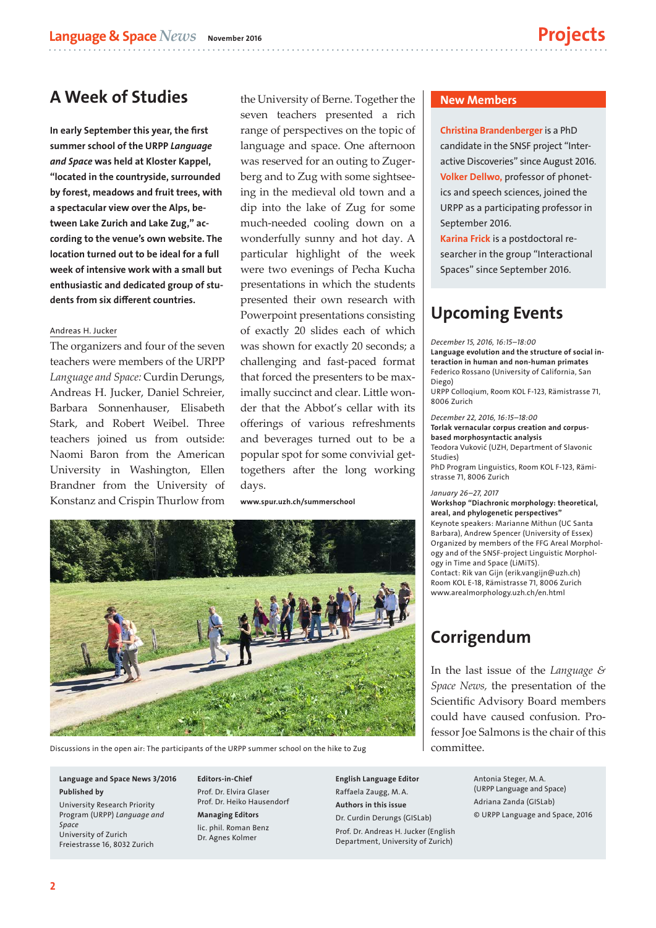## A Week of Studies

In early September this year, the first summer school of the URPP *Language and Space* was held at Kloster Kappel, "located in the countryside, surrounded by forest, meadows and fruit trees, with a spectacular view over the Alps, between Lake Zurich and Lake Zug," according to the venue's own website. The location turned out to be ideal for a full week of intensive work with a small but enthusiastic and dedicated group of students from six different countries.

#### Andreas H. Jucker

The organizers and four of the seven teachers were members of the URPP *Language and Space:* Curdin Derungs, Andreas H. Jucker, Daniel Schreier, Barbara Sonnenhauser, Elisabeth Stark, and Robert Weibel. Three teachers joined us from outside: Naomi Baron from the American University in Washington, Ellen Brandner from the University of Konstanz and Crispin Thurlow from

the University of Berne. Together the seven teachers presented a rich range of perspectives on the topic of language and space. One afternoon was reserved for an outing to Zugerberg and to Zug with some sightseeing in the medieval old town and a dip into the lake of Zug for some much-needed cooling down on a wonderfully sunny and hot day. A particular highlight of the week were two evenings of Pecha Kucha presentations in which the students presented their own research with Powerpoint presentations consisting of exactly 20 slides each of which was shown for exactly 20 seconds; a challenging and fast-paced format that forced the presenters to be maximally succinct and clear. Little wonder that the Abbot's cellar with its offerings of various refreshments and beverages turned out to be a popular spot for some convivial gettogethers after the long working days.

www.spur.uzh.ch/summerschool



Discussions in the open air: The participants of the URPP summer school on the hike to Zug

#### Language and Space News 3/2016 Published by

University Research Priority Program (URPP) *Language and Space* University of Zurich Freiestrasse 16, 8032 Zurich

Editors-in-Chief Prof. Dr. Elvira Glaser Prof. Dr. Heiko Hausendorf

Managing Editors lic. phil. Roman Benz Dr. Agnes Kolmer

English Language Editor Raffaela Zaugg, M. A. Authors in this issue Dr. Curdin Derungs (GISLab) Prof. Dr. Andreas H. Jucker (English Department, University of Zurich)

#### New Members

Christina Brandenberger is a PhD candidate in the SNSF project "Interactive Discoveries" since August 2016. Volker Dellwo, professor of phonetics and speech sciences, joined the URPP as a participating professor in September 2016.

Karina Frick is a postdoctoral researcher in the group "Interactional Spaces" since September 2016.

## Upcoming Events

*December 15, 2016, 16:15–18:00* Language evolution and the structure of social interaction in human and non-human primates Federico Rossano (University of California, San Diego) URPP Colloqium, Room KOL F-123, Rämistrasse 71, 8006 Zurich

*December 22, 2016, 16:15–18:00* Torlak vernacular corpus creation and corpusbased morphosyntactic analysis Teodora Vuković (UZH, Department of Slavonic Studies) PhD Program Linguistics, Room KOL F-123, Rämistrasse 71, 8006 Zurich

*January 26–27, 2017* Workshop "Diachronic morphology: theoretical, areal, and phylogenetic perspectives" Keynote speakers: Marianne Mithun (UC Santa Barbara), Andrew Spencer (University of Essex) Organized by members of the FFG Areal Morphology and of the SNSF-project Linguistic Morphology in Time and Space (LiMiTS). Contact: Rik van Gijn (erik.vangijn@uzh.ch) Room KOL E-18, Rämistrasse 71, 8006 Zurich www.arealmorphology.uzh.ch/en.html

## Corrigendum

In the last issue of the *Language & Space News,* the presentation of the Scientific Advisory Board members could have caused confusion. Professor Joe Salmons is the chair of this committee.

> Antonia Steger, M. A. (URPP Language and Space) Adriana Zanda (GISLab) © URPP Language and Space, 2016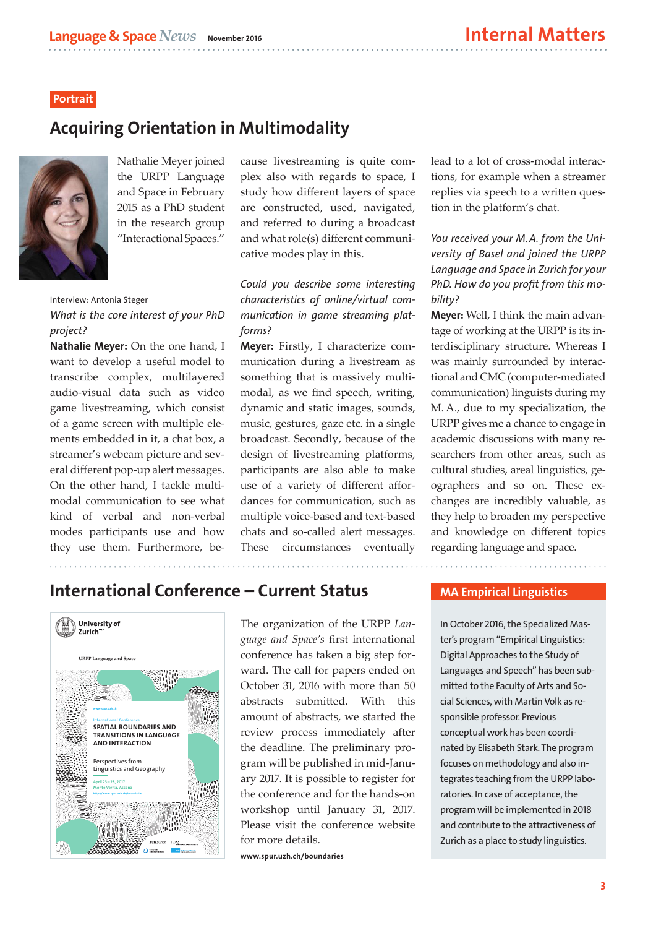## **Portrait**

## Acquiring Orientation in Multimodality



Nathalie Meyer joined the URPP Language and Space in February 2015 as a PhD student in the research group "Interactional Spaces."

Interview: Antonia Steger

## *What is the core interest of your PhD project?*

Nathalie Meyer: On the one hand, I want to develop a useful model to transcribe complex, multilayered audio-visual data such as video game livestreaming, which consist of a game screen with multiple elements embedded in it, a chat box, a streamer's webcam picture and several different pop-up alert messages. On the other hand, I tackle multimodal communication to see what kind of verbal and non-verbal modes participants use and how they use them. Furthermore, because livestreaming is quite complex also with regards to space, I study how different layers of space are constructed, used, navigated, and referred to during a broadcast and what role(s) different communicative modes play in this.

*Could you describe some interesting characteristics of online/virtual communication in game streaming platforms?*

Meyer: Firstly, I characterize communication during a livestream as something that is massively multimodal, as we find speech, writing, dynamic and static images, sounds, music, gestures, gaze etc. in a single broadcast. Secondly, because of the design of livestreaming platforms, participants are also able to make use of a variety of different affordances for communication, such as multiple voice-based and text-based chats and so-called alert messages. These circumstances eventually lead to a lot of cross-modal interactions, for example when a streamer replies via speech to a written question in the platform's chat.

*You received your M.A. from the University of Basel and joined the URPP Language and Space in Zurich for your PhD. How do you profit from this mobility?*

Meyer: Well, I think the main advantage of working at the URPP is its interdisciplinary structure. Whereas I was mainly surrounded by interactional and CMC (computer-mediated communication) linguists during my M. A., due to my specialization, the URPP gives me a chance to engage in academic discussions with many researchers from other areas, such as cultural studies, areal linguistics, geographers and so on. These exchanges are incredibly valuable, as they help to broaden my perspective and knowledge on different topics regarding language and space.

International Conference – Current Status



The organization of the URPP *Language and Space's* first international conference has taken a big step forward. The call for papers ended on October 31, 2016 with more than 50 abstracts submitted. With this amount of abstracts, we started the review process immediately after the deadline. The preliminary program will be published in mid-January 2017. It is possible to register for the conference and for the hands-on workshop until January 31, 2017. Please visit the conference website for more details.

www.spur.uzh.ch/boundaries

### MA Empirical Linguistics

In October 2016, the Specialized Master's program "Empirical Linguistics: Digital Approaches to the Study of Languages and Speech" has been submitted to the Faculty of Arts and Social Sciences, with Martin Volk as responsible professor. Previous conceptual work has been coordinated by Elisabeth Stark. The program focuses on methodology and also integrates teaching from the URPP laboratories. In case of acceptance, the program will be implemented in 2018 and contribute to the attractiveness of Zurich as a place to study linguistics.